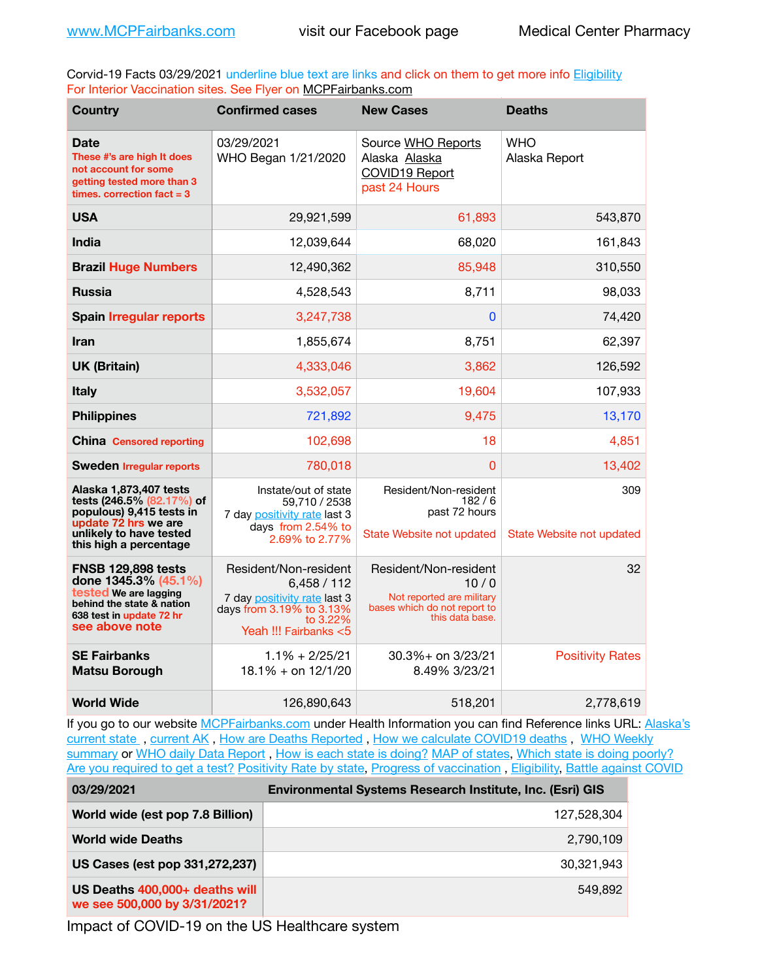Corvid-19 Facts 03/29/2021 underline blue text are links and click on them to get more info [Eligibility](http://dhss.alaska.gov/dph/Epi/id/Pages/COVID-19/VaccineAvailability.aspx) For Interior Vaccination sites. See Flyer on [MCPFairbanks.com](http://www.MCPFairbanks.com)

| <b>Country</b>                                                                                                                                               | <b>Confirmed cases</b>                                                                                                                 | <b>New Cases</b>                                                                                              | <b>Deaths</b>                    |
|--------------------------------------------------------------------------------------------------------------------------------------------------------------|----------------------------------------------------------------------------------------------------------------------------------------|---------------------------------------------------------------------------------------------------------------|----------------------------------|
| Date<br>These #'s are high It does<br>not account for some<br>getting tested more than 3<br>times, correction fact $= 3$                                     | 03/29/2021<br>WHO Began 1/21/2020                                                                                                      | Source WHO Reports<br>Alaska Alaska<br><b>COVID19 Report</b><br>past 24 Hours                                 | <b>WHO</b><br>Alaska Report      |
| <b>USA</b>                                                                                                                                                   | 29,921,599                                                                                                                             | 61,893                                                                                                        | 543,870                          |
| India                                                                                                                                                        | 12,039,644                                                                                                                             | 68,020                                                                                                        | 161,843                          |
| <b>Brazil Huge Numbers</b>                                                                                                                                   | 12,490,362                                                                                                                             | 85,948                                                                                                        | 310,550                          |
| <b>Russia</b>                                                                                                                                                | 4,528,543                                                                                                                              | 8,711                                                                                                         | 98,033                           |
| <b>Spain Irregular reports</b>                                                                                                                               | 3,247,738                                                                                                                              | 0                                                                                                             | 74,420                           |
| <b>Iran</b>                                                                                                                                                  | 1,855,674                                                                                                                              | 8,751                                                                                                         | 62,397                           |
| <b>UK (Britain)</b>                                                                                                                                          | 4,333,046                                                                                                                              | 3,862                                                                                                         | 126,592                          |
| <b>Italy</b>                                                                                                                                                 | 3,532,057                                                                                                                              | 19,604                                                                                                        | 107,933                          |
| <b>Philippines</b>                                                                                                                                           | 721,892                                                                                                                                | 9,475                                                                                                         | 13,170                           |
| <b>China Censored reporting</b>                                                                                                                              | 102,698                                                                                                                                | 18                                                                                                            | 4,851                            |
| <b>Sweden Irregular reports</b>                                                                                                                              | 780,018                                                                                                                                | 0                                                                                                             | 13,402                           |
| Alaska 1,873,407 tests<br>tests (246.5% (82.17%) of<br>populous) 9,415 tests in<br>update 72 hrs we are<br>unlikely to have tested<br>this high a percentage | Instate/out of state<br>59,710 / 2538<br>7 day positivity rate last 3<br>days from 2.54% to<br>2.69% to 2.77%                          | Resident/Non-resident<br>182/6<br>past 72 hours<br>State Website not updated                                  | 309<br>State Website not updated |
| <b>FNSB 129,898 tests</b><br>done 1345.3% (45.1%)<br>tested We are lagging<br>behind the state & nation<br>638 test in update 72 hr<br>see above note        | Resident/Non-resident<br>6,458/112<br>7 day positivity rate last 3<br>days from 3.19% to 3.13%<br>to $3.22\%$<br>Yeah !!! Fairbanks <5 | Resident/Non-resident<br>10/0<br>Not reported are military<br>bases which do not report to<br>this data base. | 32                               |
| <b>SE Fairbanks</b><br><b>Matsu Borough</b>                                                                                                                  | $1.1\% + 2/25/21$<br>$18.1\% +$ on $12/1/20$                                                                                           | 30.3%+ on 3/23/21<br>8.49% 3/23/21                                                                            | <b>Positivity Rates</b>          |
| <b>World Wide</b>                                                                                                                                            | 126,890,643                                                                                                                            | 518,201                                                                                                       | 2,778,619                        |

If you go to our website [MCPFairbanks.com](http://www.MCPFairbanks.com) under Health Information you can find Reference links URL: Alaska's [current state](https://coronavirus-response-alaska-dhss.hub.arcgis.com) , [current AK](http://dhss.alaska.gov/dph/Epi/id/Pages/COVID-19/communications.aspx#cases) , [How are Deaths Reported](http://dhss.alaska.gov/dph/Epi/id/Pages/COVID-19/deathcounts.aspx) , [How we calculate COVID19 deaths](https://coronavirus-response-alaska-dhss.hub.arcgis.com/search?collection=Document&groupIds=41ccb3344ebc4bd682c74073eba21f42) , [WHO Weekly](http://www.who.int)  [summary](http://www.who.int) or [WHO daily Data Report](https://covid19.who.int/table), [How is each state is doing?](https://www.msn.com/en-us/news/us/state-by-state-coronavirus-news/ar-BB13E1PX?fbclid=IwAR0_OBJH7lSyTN3ug_MsOeFnNgB1orTa9OBgilKJ7dhnwlVvHEsptuKkj1c) [MAP of states,](https://www.nationalgeographic.com/science/graphics/graphic-tracking-coronavirus-infections-us?cmpid=org=ngp::mc=crm-email::src=ngp::cmp=editorial::add=SpecialEdition_20210305&rid=B9A6DF5992658E8E35CE023113CFEA4C) [Which state is doing poorly?](https://bestlifeonline.com/covid-outbreak-your-state/?utm_source=nsltr&utm_medium=email&utm_content=covid-outbreak-your-state&utm_campaign=launch) [Are you required to get a test?](http://dhss.alaska.gov/dph/Epi/id/SiteAssets/Pages/HumanCoV/Whattodoafteryourtest.pdf) [Positivity Rate by state](https://coronavirus.jhu.edu/testing/individual-states/alaska), Progress of vaccination, [Eligibility,](http://dhss.alaska.gov/dph/Epi/id/Pages/COVID-19/VaccineAvailability.aspx) [Battle against COVID](https://www.nationalgeographic.com/science/graphics/graphic-tracking-coronavirus-infections-us?cmpid=org=ngp::mc=crm-email::src=ngp::cmp=editorial::add=SpecialEdition_20210219&rid=B9A6DF5992658E8E35CE023113CFEA4C)

| 03/29/2021                                                     | <b>Environmental Systems Research Institute, Inc. (Esri) GIS</b> |
|----------------------------------------------------------------|------------------------------------------------------------------|
| World wide (est pop 7.8 Billion)                               | 127,528,304                                                      |
| <b>World wide Deaths</b>                                       | 2,790,109                                                        |
| US Cases (est pop 331,272,237)                                 | 30.321.943                                                       |
| US Deaths 400,000+ deaths will<br>we see 500,000 by 3/31/2021? | 549.892                                                          |

Impact of COVID-19 on the US Healthcare system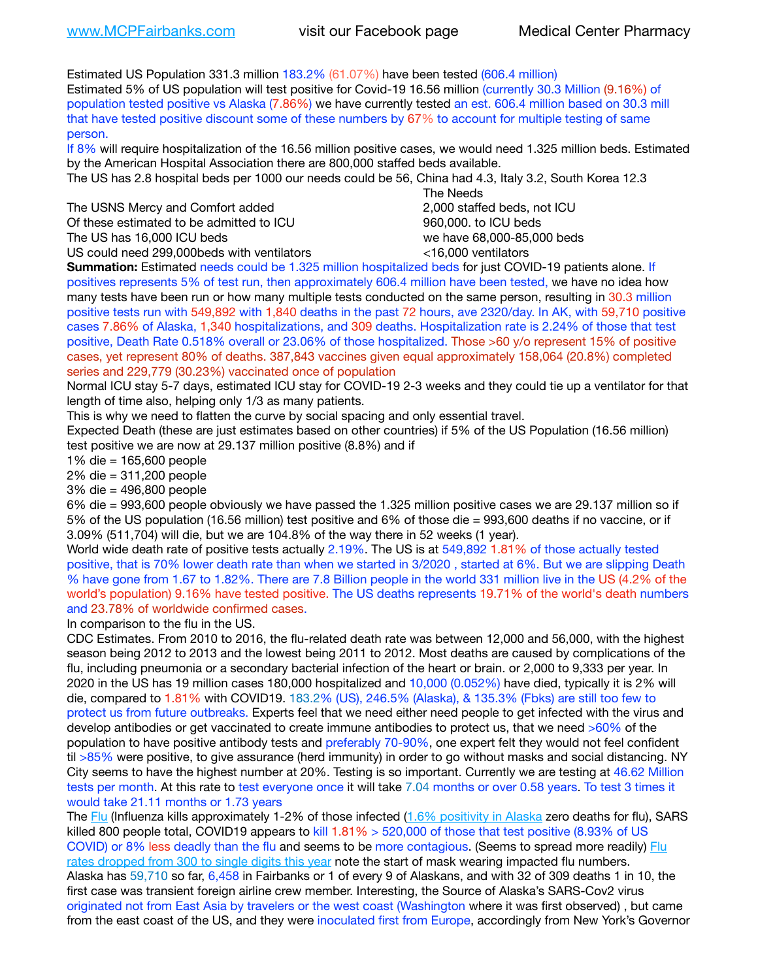Estimated US Population 331.3 million 183.2% (61.07%) have been tested (606.4 million) Estimated 5% of US population will test positive for Covid-19 16.56 million (currently 30.3 Million (9.16%) of population tested positive vs Alaska (7.86%) we have currently tested an est. 606.4 million based on 30.3 mill that have tested positive discount some of these numbers by 67% to account for multiple testing of same person.

If 8% will require hospitalization of the 16.56 million positive cases, we would need 1.325 million beds. Estimated by the American Hospital Association there are 800,000 staffed beds available.

The US has 2.8 hospital beds per 1000 our needs could be 56, China had 4.3, Italy 3.2, South Korea 12.3

The USNS Mercy and Comfort added 2,000 staffed beds, not ICU Of these estimated to be admitted to ICU 860,000. to ICU beds

US could need 299,000 beds with ventilators  $\leq$ 16,000 ventilators

 The Needs The US has 16,000 ICU beds we have 68,000-85,000 beds

**Summation:** Estimated needs could be 1.325 million hospitalized beds for just COVID-19 patients alone. If positives represents 5% of test run, then approximately 606.4 million have been tested, we have no idea how many tests have been run or how many multiple tests conducted on the same person, resulting in 30.3 million positive tests run with 549,892 with 1,840 deaths in the past 72 hours, ave 2320/day. In AK, with 59,710 positive cases 7.86% of Alaska, 1,340 hospitalizations, and 309 deaths. Hospitalization rate is 2.24% of those that test positive, Death Rate 0.518% overall or 23.06% of those hospitalized. Those >60 y/o represent 15% of positive cases, yet represent 80% of deaths. 387,843 vaccines given equal approximately 158,064 (20.8%) completed series and 229,779 (30.23%) vaccinated once of population

Normal ICU stay 5-7 days, estimated ICU stay for COVID-19 2-3 weeks and they could tie up a ventilator for that length of time also, helping only 1/3 as many patients.

This is why we need to flatten the curve by social spacing and only essential travel.

Expected Death (these are just estimates based on other countries) if 5% of the US Population (16.56 million) test positive we are now at 29.137 million positive (8.8%) and if

1% die = 165,600 people

2% die = 311,200 people

3% die = 496,800 people

6% die = 993,600 people obviously we have passed the 1.325 million positive cases we are 29.137 million so if 5% of the US population (16.56 million) test positive and 6% of those die = 993,600 deaths if no vaccine, or if 3.09% (511,704) will die, but we are 104.8% of the way there in 52 weeks (1 year).

World wide death rate of positive tests actually 2.19%. The US is at 549,892 1.81% of those actually tested positive, that is 70% lower death rate than when we started in 3/2020 , started at 6%. But we are slipping Death % have gone from 1.67 to 1.82%. There are 7.8 Billion people in the world 331 million live in the US (4.2% of the world's population) 9.16% have tested positive. The US deaths represents 19.71% of the world's death numbers and 23.78% of worldwide confirmed cases.

In comparison to the flu in the US.

CDC Estimates. From 2010 to 2016, the flu-related death rate was between 12,000 and 56,000, with the highest season being 2012 to 2013 and the lowest being 2011 to 2012. Most deaths are caused by complications of the flu, including pneumonia or a secondary bacterial infection of the heart or brain. or 2,000 to 9,333 per year. In 2020 in the US has 19 million cases 180,000 hospitalized and 10,000 (0.052%) have died, typically it is 2% will die, compared to 1.81% with COVID19. 183.2% (US), 246.5% (Alaska), & 135.3% (Fbks) are still too few to protect us from future outbreaks. Experts feel that we need either need people to get infected with the virus and develop antibodies or get vaccinated to create immune antibodies to protect us, that we need >60% of the population to have positive antibody tests and preferably 70-90%, one expert felt they would not feel confident til >85% were positive, to give assurance (herd immunity) in order to go without masks and social distancing. NY City seems to have the highest number at 20%. Testing is so important. Currently we are testing at 46.62 Million tests per month. At this rate to test everyone once it will take 7.04 months or over 0.58 years. To test 3 times it would take 21.11 months or 1.73 years

The [Flu](https://lnks.gd/l/eyJhbGciOiJIUzI1NiJ9.eyJidWxsZXRpbl9saW5rX2lkIjoxMDMsInVyaSI6ImJwMjpjbGljayIsImJ1bGxldGluX2lkIjoiMjAyMTAyMjYuMzYwNDA3NTEiLCJ1cmwiOiJodHRwczovL3d3dy5jZGMuZ292L2ZsdS93ZWVrbHkvb3ZlcnZpZXcuaHRtIn0.ePMA_hsZ-pTnhWSyg1gHvHWYTu2XceVOt0JejxvP1WE/s/500544915/br/98428119752-l) (Influenza kills approximately 1-2% of those infected ([1.6% positivity in Alaska](http://dhss.alaska.gov/dph/Epi/id/SiteAssets/Pages/influenza/trends/Snapshot.pdf) zero deaths for flu), SARS killed 800 people total, COVID19 appears to kill  $1.81\% > 520,000$  of those that test positive (8.93% of US COVID) or 8% less deadly than the flu and seems to be more contagious. (Seems to spread more readily) Flu [rates dropped from 300 to single digits this year](https://lnks.gd/l/eyJhbGciOiJIUzI1NiJ9.eyJidWxsZXRpbl9saW5rX2lkIjoxMDEsInVyaSI6ImJwMjpjbGljayIsImJ1bGxldGluX2lkIjoiMjAyMTAyMjYuMzYwNDA3NTEiLCJ1cmwiOiJodHRwOi8vZGhzcy5hbGFza2EuZ292L2RwaC9FcGkvaWQvUGFnZXMvaW5mbHVlbnphL2ZsdWluZm8uYXNweCJ9.oOe3nt2fww6XpsNhb4FZfmtPfPa-irGaldpkURBJhSo/s/500544915/br/98428119752-l) note the start of mask wearing impacted flu numbers. Alaska has 59,710 so far, 6,458 in Fairbanks or 1 of every 9 of Alaskans, and with 32 of 309 deaths 1 in 10, the first case was transient foreign airline crew member. Interesting, the Source of Alaska's SARS-Cov2 virus originated not from East Asia by travelers or the west coast (Washington where it was first observed) , but came from the east coast of the US, and they were inoculated first from Europe, accordingly from New York's Governor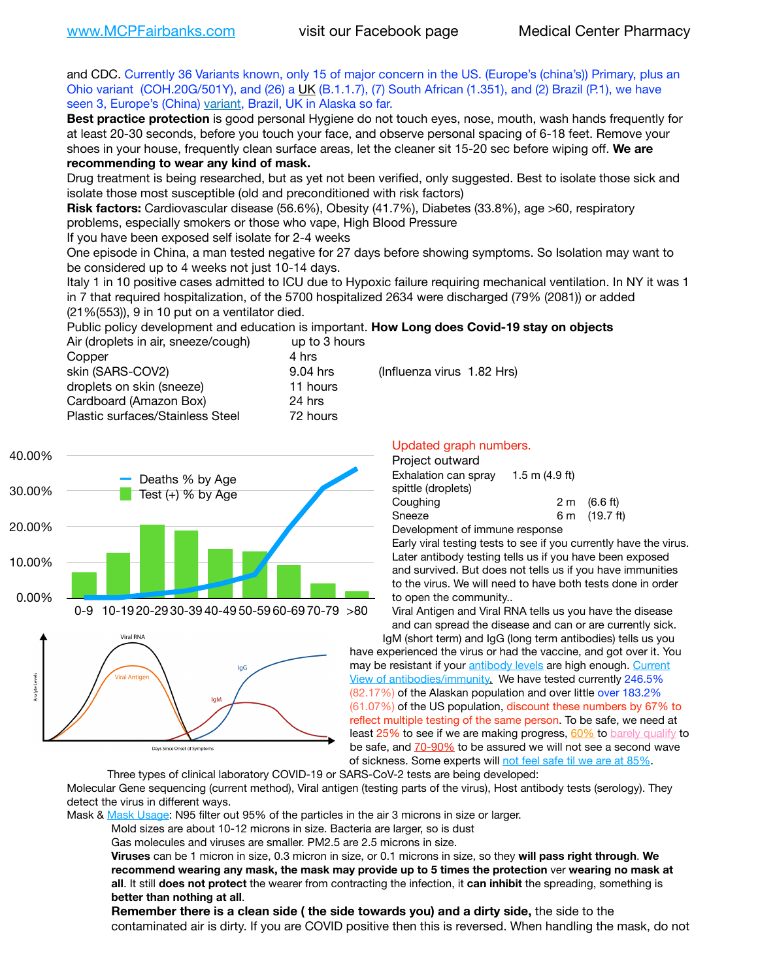and CDC. Currently 36 Variants known, only 15 of major concern in the US. (Europe's (china's)) Primary, plus an Ohio variant (COH.20G/501Y), and (26) a [UK](https://www.cdc.gov/coronavirus/2019-ncov/transmission/variant-cases.html) (B.1.1.7), (7) South African (1.351), and (2) Brazil (P.1), we have seen 3, Europe's (China) [variant,](https://www.webmd.com/lung/news/20210318/cdc-who-create-threat-levels-for-covid-variants?ecd=wnl_cvd_031921&ctr=wnl-cvd-031921&mb=kYbf7DsHb7YGjh/1RUkcAW0T6iorImAU1TDZh18RYs0=_Support_titleLink_2) Brazil, UK in Alaska so far.

**Best practice protection** is good personal Hygiene do not touch eyes, nose, mouth, wash hands frequently for at least 20-30 seconds, before you touch your face, and observe personal spacing of 6-18 feet. Remove your shoes in your house, frequently clean surface areas, let the cleaner sit 15-20 sec before wiping off. **We are recommending to wear any kind of mask.**

Drug treatment is being researched, but as yet not been verified, only suggested. Best to isolate those sick and isolate those most susceptible (old and preconditioned with risk factors)

**Risk factors:** Cardiovascular disease (56.6%), Obesity (41.7%), Diabetes (33.8%), age >60, respiratory problems, especially smokers or those who vape, High Blood Pressure

If you have been exposed self isolate for 2-4 weeks

One episode in China, a man tested negative for 27 days before showing symptoms. So Isolation may want to be considered up to 4 weeks not just 10-14 days.

Italy 1 in 10 positive cases admitted to ICU due to Hypoxic failure requiring mechanical ventilation. In NY it was 1 in 7 that required hospitalization, of the 5700 hospitalized 2634 were discharged (79% (2081)) or added (21%(553)), 9 in 10 put on a ventilator died.

Public policy development and education is important. **How Long does Covid-19 stay on objects**

| Air (droplets in air, sneeze/cough) | up to 3 hours |
|-------------------------------------|---------------|
| Copper                              | 4 hrs         |
| skin (SARS-COV2)                    | 9.04 hrs      |
| droplets on skin (sneeze)           | 11 hours      |
| Cardboard (Amazon Box)              | 24 hrs        |
| Plastic surfaces/Stainless Steel    | 72 hours      |



Days Since Onset of Symptoms

#### Updated graph numbers.

#### Project outward

 $(Influenza virus 1.82 Hrs)$ 

| . . <b>.</b> . <del>.</del>    |                          |                        |
|--------------------------------|--------------------------|------------------------|
| Exhalation can spray           | $1.5 \text{ m}$ (4.9 ft) |                        |
| spittle (droplets)             |                          |                        |
| Coughing                       |                          | $2 \text{ m}$ (6.6 ft) |
| Sneeze                         |                          | 6 m (19.7 ft)          |
| Doualanmant of immune reanance |                          |                        |

Development of immune response

Early viral testing tests to see if you currently have the virus. Later antibody testing tells us if you have been exposed and survived. But does not tells us if you have immunities to the virus. We will need to have both tests done in order to open the community..

Viral Antigen and Viral RNA tells us you have the disease and can spread the disease and can or are currently sick.

IgM (short term) and IgG (long term antibodies) tells us you have experienced the virus or had the vaccine, and got over it. You may be resistant if your [antibody levels](https://www.cdc.gov/coronavirus/2019-ncov/lab/resources/antibody-tests.html) are high enough. [Current](https://l.facebook.com/l.php?u=https://www.itv.com/news/2020-10-26/covid-19-antibody-levels-reduce-over-time-study-finds?fbclid=IwAR3Dapzh1qIH1EIOdUQI2y8THf7jfA4KBCaJz8Qg-8xe1YsrR4nsAHDIXSY&h=AT30nut8pkqp0heVuz5W2rT2WFFm-2Ab52BsJxZZCNlGsX58IpPkuVEPULbIUV_M16MAukx1Kwb657DPXxsgDN1rpOQ4gqBtQsmVYiWpnHPJo2RQsU6CPMd14lgLnQnFWxfVi6zvmw&__tn__=-UK-R&c%5B0%5D=AT1GaRAfR_nGAyqcn7TI1-PpvqOqEKXHnz6TDWvRStMnOSH7boQDvTiwTOc6VId9UES6LKiOmm2m88wKCoolkJyOFvakt2Z1Mw8toYWGGoWW23r0MNVBl7cYJXB_UOvGklNHaNnaNr1_S7NhT3BSykNOBg) [View of antibodies/immunity](https://www.livescience.com/antibodies.html)[.](https://www.itv.com/news/2020-10-26/covid-19-antibody-levels-reduce-over-time-study-finds) We have tested currently 246.5% (82.17%) of the Alaskan population and over little over 183.2% (61.07%) of the US population, discount these numbers by 67% to reflect multiple testing of the same person. To be safe, we need at least 25% to see if we are making progress, [60%](https://www.jhsph.edu/covid-19/articles/achieving-herd-immunity-with-covid19.html) to [barely qualify](https://www.nature.com/articles/d41586-020-02948-4) to be safe, and [70-90%](https://www.mayoclinic.org/herd-immunity-and-coronavirus/art-20486808) to be assured we will not see a second wave of sickness. Some experts will [not feel safe til we are at 85%.](https://www.bannerhealth.com/healthcareblog/teach-me/what-is-herd-immunity)

Three types of clinical laboratory COVID-19 or SARS-CoV-2 tests are being developed:

Molecular Gene sequencing (current method), Viral antigen (testing parts of the virus), Host antibody tests (serology). They detect the virus in different ways.

Mask & [Mask Usage:](https://www.nationalgeographic.com/history/2020/03/how-cities-flattened-curve-1918-spanish-flu-pandemic-coronavirus/) N95 filter out 95% of the particles in the air 3 microns in size or larger.

Mold sizes are about 10-12 microns in size. Bacteria are larger, so is dust

Gas molecules and viruses are smaller. PM2.5 are 2.5 microns in size.

**Viruses** can be 1 micron in size, 0.3 micron in size, or 0.1 microns in size, so they **will pass right through**. **We recommend wearing any mask, the mask may provide up to 5 times the protection** ver **wearing no mask at all**. It still **does not protect** the wearer from contracting the infection, it **can inhibit** the spreading, something is **better than nothing at all**.

**Remember there is a clean side ( the side towards you) and a dirty side,** the side to the contaminated air is dirty. If you are COVID positive then this is reversed. When handling the mask, do not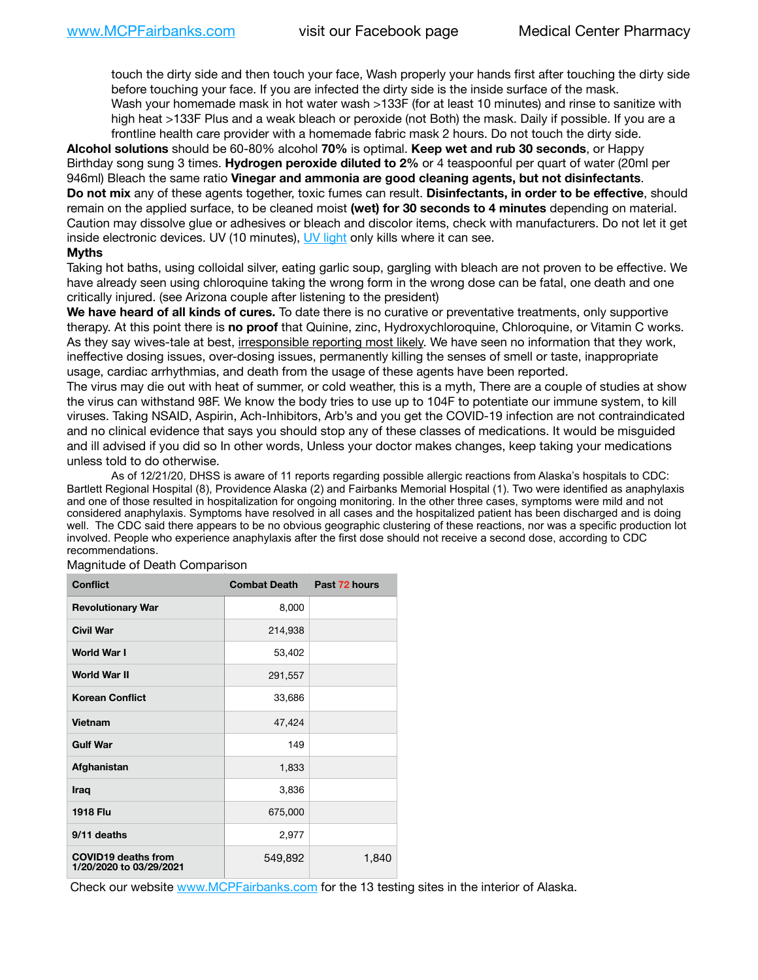touch the dirty side and then touch your face, Wash properly your hands first after touching the dirty side before touching your face. If you are infected the dirty side is the inside surface of the mask. Wash your homemade mask in hot water wash >133F (for at least 10 minutes) and rinse to sanitize with high heat >133F Plus and a weak bleach or peroxide (not Both) the mask. Daily if possible. If you are a frontline health care provider with a homemade fabric mask 2 hours. Do not touch the dirty side.

**Alcohol solutions** should be 60-80% alcohol **70%** is optimal. **Keep wet and rub 30 seconds**, or Happy Birthday song sung 3 times. **Hydrogen peroxide diluted to 2%** or 4 teaspoonful per quart of water (20ml per 946ml) Bleach the same ratio **Vinegar and ammonia are good cleaning agents, but not disinfectants**. **Do not mix** any of these agents together, toxic fumes can result. **Disinfectants, in order to be effective**, should remain on the applied surface, to be cleaned moist **(wet) for 30 seconds to 4 minutes** depending on material. Caution may dissolve glue or adhesives or bleach and discolor items, check with manufacturers. Do not let it get inside electronic devices. UV (10 minutes), [UV light](http://www.docreviews.me/best-uv-boxes-2020/?fbclid=IwAR3bvFtXB48OoBBSvYvTEnKuHNPbipxM6jUo82QUSw9wckxjC7wwRZWabGw) only kills where it can see.

### **Myths**

Taking hot baths, using colloidal silver, eating garlic soup, gargling with bleach are not proven to be effective. We have already seen using chloroquine taking the wrong form in the wrong dose can be fatal, one death and one critically injured. (see Arizona couple after listening to the president)

**We have heard of all kinds of cures.** To date there is no curative or preventative treatments, only supportive therapy. At this point there is **no proof** that Quinine, zinc, Hydroxychloroquine, Chloroquine, or Vitamin C works. As they say wives-tale at best, irresponsible reporting most likely. We have seen no information that they work, ineffective dosing issues, over-dosing issues, permanently killing the senses of smell or taste, inappropriate usage, cardiac arrhythmias, and death from the usage of these agents have been reported.

The virus may die out with heat of summer, or cold weather, this is a myth, There are a couple of studies at show the virus can withstand 98F. We know the body tries to use up to 104F to potentiate our immune system, to kill viruses. Taking NSAID, Aspirin, Ach-Inhibitors, Arb's and you get the COVID-19 infection are not contraindicated and no clinical evidence that says you should stop any of these classes of medications. It would be misguided and ill advised if you did so In other words, Unless your doctor makes changes, keep taking your medications unless told to do otherwise.

As of 12/21/20, DHSS is aware of 11 reports regarding possible allergic reactions from Alaska's hospitals to CDC: Bartlett Regional Hospital (8), Providence Alaska (2) and Fairbanks Memorial Hospital (1). Two were identified as anaphylaxis and one of those resulted in hospitalization for ongoing monitoring. In the other three cases, symptoms were mild and not considered anaphylaxis. Symptoms have resolved in all cases and the hospitalized patient has been discharged and is doing well. The CDC said there appears to be no obvious geographic clustering of these reactions, nor was a specific production lot involved. People who experience anaphylaxis after the first dose should not receive a second dose, according to CDC recommendations.

| <b>Conflict</b>                                       | <b>Combat Death</b> | Past 72 hours |
|-------------------------------------------------------|---------------------|---------------|
| <b>Revolutionary War</b>                              | 8,000               |               |
| <b>Civil War</b>                                      | 214,938             |               |
| World War I                                           | 53,402              |               |
| <b>World War II</b>                                   | 291,557             |               |
| <b>Korean Conflict</b>                                | 33,686              |               |
| Vietnam                                               | 47,424              |               |
| <b>Gulf War</b>                                       | 149                 |               |
| Afghanistan                                           | 1,833               |               |
| Iraq                                                  | 3,836               |               |
| <b>1918 Flu</b>                                       | 675,000             |               |
| 9/11 deaths                                           | 2,977               |               |
| <b>COVID19 deaths from</b><br>1/20/2020 to 03/29/2021 | 549,892             | 1,840         |

Magnitude of Death Comparison

Check our website [www.MCPFairbanks.com](http://www.MCPFairbanks.com) for the 13 testing sites in the interior of Alaska.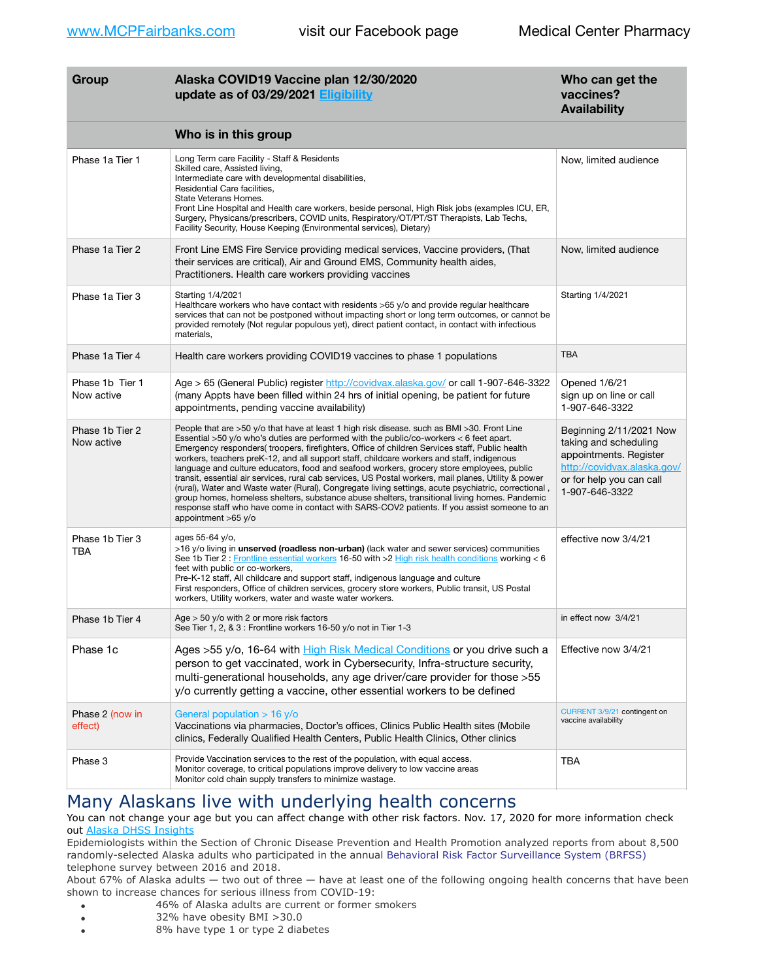| Group                         | Alaska COVID19 Vaccine plan 12/30/2020<br>update as of 03/29/2021 Eligibility                                                                                                                                                                                                                                                                                                                                                                                                                                                                                                                                                                                                                                                                                                                                                                                                                                                    | Who can get the<br>vaccines?<br><b>Availability</b>                                                                                                     |
|-------------------------------|----------------------------------------------------------------------------------------------------------------------------------------------------------------------------------------------------------------------------------------------------------------------------------------------------------------------------------------------------------------------------------------------------------------------------------------------------------------------------------------------------------------------------------------------------------------------------------------------------------------------------------------------------------------------------------------------------------------------------------------------------------------------------------------------------------------------------------------------------------------------------------------------------------------------------------|---------------------------------------------------------------------------------------------------------------------------------------------------------|
|                               | Who is in this group                                                                                                                                                                                                                                                                                                                                                                                                                                                                                                                                                                                                                                                                                                                                                                                                                                                                                                             |                                                                                                                                                         |
| Phase 1a Tier 1               | Long Term care Facility - Staff & Residents<br>Skilled care, Assisted living,<br>Intermediate care with developmental disabilities,<br>Residential Care facilities,<br>State Veterans Homes.<br>Front Line Hospital and Health care workers, beside personal, High Risk jobs (examples ICU, ER,<br>Surgery, Physicans/prescribers, COVID units, Respiratory/OT/PT/ST Therapists, Lab Techs,<br>Facility Security, House Keeping (Environmental services), Dietary)                                                                                                                                                                                                                                                                                                                                                                                                                                                               | Now, limited audience                                                                                                                                   |
| Phase 1a Tier 2               | Front Line EMS Fire Service providing medical services, Vaccine providers, (That<br>their services are critical), Air and Ground EMS, Community health aides,<br>Practitioners. Health care workers providing vaccines                                                                                                                                                                                                                                                                                                                                                                                                                                                                                                                                                                                                                                                                                                           | Now, limited audience                                                                                                                                   |
| Phase 1a Tier 3               | Starting 1/4/2021<br>Healthcare workers who have contact with residents >65 y/o and provide regular healthcare<br>services that can not be postponed without impacting short or long term outcomes, or cannot be<br>provided remotely (Not regular populous yet), direct patient contact, in contact with infectious<br>materials,                                                                                                                                                                                                                                                                                                                                                                                                                                                                                                                                                                                               | Starting 1/4/2021                                                                                                                                       |
| Phase 1a Tier 4               | Health care workers providing COVID19 vaccines to phase 1 populations                                                                                                                                                                                                                                                                                                                                                                                                                                                                                                                                                                                                                                                                                                                                                                                                                                                            | <b>TBA</b>                                                                                                                                              |
| Phase 1b Tier 1<br>Now active | Age > 65 (General Public) register http://covidvax.alaska.gov/ or call 1-907-646-3322<br>(many Appts have been filled within 24 hrs of initial opening, be patient for future<br>appointments, pending vaccine availability)                                                                                                                                                                                                                                                                                                                                                                                                                                                                                                                                                                                                                                                                                                     | Opened 1/6/21<br>sign up on line or call<br>1-907-646-3322                                                                                              |
| Phase 1b Tier 2<br>Now active | People that are >50 y/o that have at least 1 high risk disease. such as BMI >30. Front Line<br>Essential $>50$ y/o who's duties are performed with the public/co-workers $<$ 6 feet apart.<br>Emergency responders(troopers, firefighters, Office of children Services staff, Public health<br>workers, teachers preK-12, and all support staff, childcare workers and staff, indigenous<br>language and culture educators, food and seafood workers, grocery store employees, public<br>transit, essential air services, rural cab services, US Postal workers, mail planes, Utility & power<br>, (rural), Water and Waste water (Rural), Congregate living settings, acute psychiatric, correctional<br>group homes, homeless shelters, substance abuse shelters, transitional living homes. Pandemic<br>response staff who have come in contact with SARS-COV2 patients. If you assist someone to an<br>appointment $>65$ y/o | Beginning 2/11/2021 Now<br>taking and scheduling<br>appointments. Register<br>http://covidvax.alaska.gov/<br>or for help you can call<br>1-907-646-3322 |
| Phase 1b Tier 3<br>TBA        | ages 55-64 y/o,<br>>16 y/o living in <b>unserved (roadless non-urban)</b> (lack water and sewer services) communities<br>See 1b Tier 2: Frontline essential workers 16-50 with >2 High risk health conditions working < 6<br>feet with public or co-workers,<br>Pre-K-12 staff, All childcare and support staff, indigenous language and culture<br>First responders, Office of children services, grocery store workers, Public transit, US Postal<br>workers, Utility workers, water and waste water workers.                                                                                                                                                                                                                                                                                                                                                                                                                  | effective now 3/4/21                                                                                                                                    |
| Phase 1b Tier 4               | Age > 50 y/o with 2 or more risk factors<br>See Tier 1, 2, & 3 : Frontline workers 16-50 y/o not in Tier 1-3                                                                                                                                                                                                                                                                                                                                                                                                                                                                                                                                                                                                                                                                                                                                                                                                                     | in effect now 3/4/21                                                                                                                                    |
| Phase 1c                      | Ages >55 y/o, 16-64 with High Risk Medical Conditions or you drive such a<br>person to get vaccinated, work in Cybersecurity, Infra-structure security,<br>multi-generational households, any age driver/care provider for those > 55<br>y/o currently getting a vaccine, other essential workers to be defined                                                                                                                                                                                                                                                                                                                                                                                                                                                                                                                                                                                                                  | Effective now 3/4/21                                                                                                                                    |
| Phase 2 (now in<br>effect)    | General population $> 16$ y/o<br>Vaccinations via pharmacies, Doctor's offices, Clinics Public Health sites (Mobile<br>clinics, Federally Qualified Health Centers, Public Health Clinics, Other clinics                                                                                                                                                                                                                                                                                                                                                                                                                                                                                                                                                                                                                                                                                                                         | CURRENT 3/9/21 contingent on<br>vaccine availability                                                                                                    |
| Phase 3                       | Provide Vaccination services to the rest of the population, with equal access.<br>Monitor coverage, to critical populations improve delivery to low vaccine areas<br>Monitor cold chain supply transfers to minimize wastage.                                                                                                                                                                                                                                                                                                                                                                                                                                                                                                                                                                                                                                                                                                    | TBA                                                                                                                                                     |

# Many Alaskans live with underlying health concerns

You can not change your age but you can affect change with other risk factors. Nov. 17, 2020 for more information check out [Alaska DHSS Insights](http://dhss.alaska.gov/dph/Epi/id/Pages/COVID-19/blog/20201117.aspx)

Epidemiologists within the Section of Chronic Disease Prevention and Health Promotion analyzed reports from about 8,500 randomly-selected Alaska adults who participated in the annual [Behavioral Risk Factor Surveillance System \(BRFSS\)](http://dhss.alaska.gov/dph/Chronic/Pages/brfss/default.aspx) telephone survey between 2016 and 2018.

About 67% of Alaska adults — two out of three — have at least one of the following ongoing health concerns that have been shown to increase chances for serious illness from COVID-19:

- 46% of Alaska adults are current or former smokers
- 32% have obesity BMI >30.0
- 8% have type 1 or type 2 diabetes